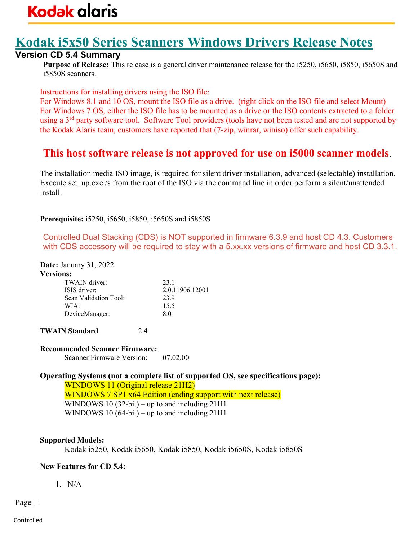# Kodak i5x50 Series Scanners Windows Drivers Release Notes

### Version CD 5.4 Summary

Purpose of Release: This release is a general driver maintenance release for the i5250, i5650, i5850, i5650S and i5850S scanners.

Instructions for installing drivers using the ISO file:

For Windows 8.1 and 10 OS, mount the ISO file as a drive. (right click on the ISO file and select Mount) For Windows 7 OS, either the ISO file has to be mounted as a drive or the ISO contents extracted to a folder using a 3<sup>rd</sup> party software tool. Software Tool providers (tools have not been tested and are not supported by the Kodak Alaris team, customers have reported that (7-zip, winrar, winiso) offer such capability.

### This host software release is not approved for use on i5000 scanner models.

The installation media ISO image, is required for silent driver installation, advanced (selectable) installation. Execute set up.exe /s from the root of the ISO via the command line in order perform a silent/unattended install.

Prerequisite: i5250, i5650, i5850, i5650S and i5850S

Controlled Dual Stacking (CDS) is NOT supported in firmware 6.3.9 and host CD 4.3. Customers with CDS accessory will be required to stay with a 5.xx.xx versions of firmware and host CD 3.3.1.

Date: January 31, 2022

| <b>Versions:</b> |  |
|------------------|--|
|                  |  |
|                  |  |

| TWAIN driver:         | 23.1            |
|-----------------------|-----------------|
| ISIS driver:          | 2.0.11906.12001 |
| Scan Validation Tool: | 23.9            |
| WIA:                  | 15.5            |
| DeviceManager:        | 80              |

TWAIN Standard 2.4

#### Recommended Scanner Firmware:

Scanner Firmware Version: 07.02.00

Operating Systems (not a complete list of supported OS, see specifications page): WINDOWS 11 (Original release 21H2) WINDOWS 7 SP1 x64 Edition (ending support with next release) WINDOWS 10 (32-bit) – up to and including 21H1 WINDOWS 10 (64-bit) – up to and including 21H1

#### Supported Models:

Kodak i5250, Kodak i5650, Kodak i5850, Kodak i5650S, Kodak i5850S

#### New Features for CD 5.4:

1. N/A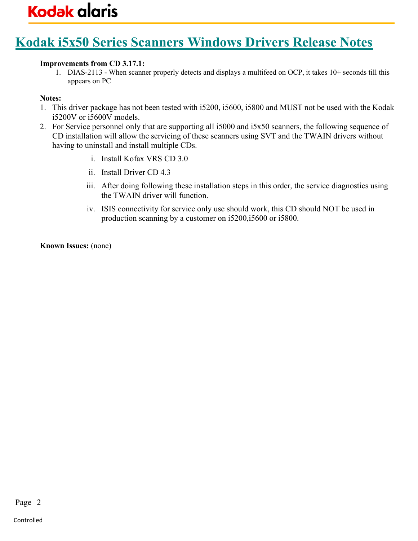## Kodak i5x50 Series Scanners Windows Drivers Release Notes

#### Improvements from CD 3.17.1:

1. DIAS-2113 - When scanner properly detects and displays a multifeed on OCP, it takes 10+ seconds till this appears on PC

#### Notes:

- 1. This driver package has not been tested with i5200, i5600, i5800 and MUST not be used with the Kodak i5200V or i5600V models.
- 2. For Service personnel only that are supporting all i5000 and i5x50 scanners, the following sequence of CD installation will allow the servicing of these scanners using SVT and the TWAIN drivers without having to uninstall and install multiple CDs.
	- i. Install Kofax VRS CD 3.0
	- ii. Install Driver CD 4.3
	- iii. After doing following these installation steps in this order, the service diagnostics using the TWAIN driver will function.
	- iv. ISIS connectivity for service only use should work, this CD should NOT be used in production scanning by a customer on i5200,i5600 or i5800.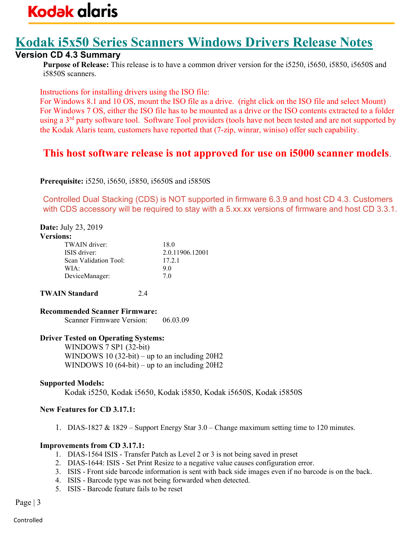## Kodak i5x50 Series Scanners Windows Drivers Release Notes

### Version CD 4.3 Summary

Purpose of Release: This release is to have a common driver version for the i5250, i5650, i5850, i5650S and i5850S scanners.

Instructions for installing drivers using the ISO file:

For Windows 8.1 and 10 OS, mount the ISO file as a drive. (right click on the ISO file and select Mount) For Windows 7 OS, either the ISO file has to be mounted as a drive or the ISO contents extracted to a folder using a 3<sup>rd</sup> party software tool. Software Tool providers (tools have not been tested and are not supported by the Kodak Alaris team, customers have reported that (7-zip, winrar, winiso) offer such capability.

## This host software release is not approved for use on i5000 scanner models.

Prerequisite: i5250, i5650, i5850, i5650S and i5850S

Controlled Dual Stacking (CDS) is NOT supported in firmware 6.3.9 and host CD 4.3. Customers with CDS accessory will be required to stay with a 5.xx.xx versions of firmware and host CD 3.3.1.

#### Date: July 23, 2019

| <b>Versions:</b>      |                 |
|-----------------------|-----------------|
| TWAIN driver:         | 18.0            |
| ISIS driver:          | 2.0.11906.12001 |
| Scan Validation Tool: | 17.2.1          |
| WIA:                  | 90              |
| DeviceManager:        | 7 O             |

TWAIN Standard 2.4

Recommended Scanner Firmware: Scanner Firmware Version: 06.03.09

#### Driver Tested on Operating Systems:

WINDOWS 7 SP1 (32-bit) WINDOWS 10 (32-bit) – up to an including 20H2 WINDOWS 10 (64-bit) – up to an including 20H2

#### Supported Models:

Kodak i5250, Kodak i5650, Kodak i5850, Kodak i5650S, Kodak i5850S

#### New Features for CD 3.17.1:

1. DIAS-1827 & 1829 – Support Energy Star 3.0 – Change maximum setting time to 120 minutes.

#### Improvements from CD 3.17.1:

- 1. DIAS-1564 ISIS Transfer Patch as Level 2 or 3 is not being saved in preset
- 2. DIAS-1644: ISIS Set Print Resize to a negative value causes configuration error.
- 3. ISIS Front side barcode information is sent with back side images even if no barcode is on the back.
- 4. ISIS Barcode type was not being forwarded when detected.
- 5. ISIS Barcode feature fails to be reset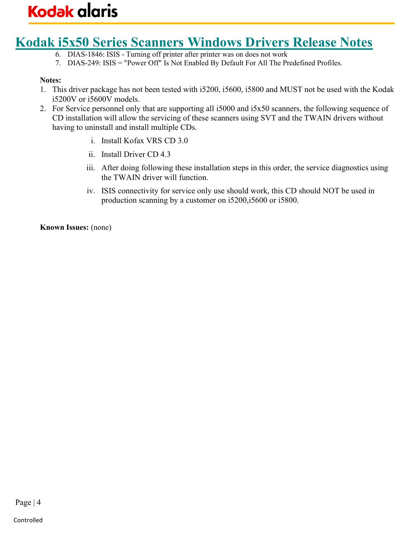## Kodak i5x50 Series Scanners Windows Drivers Release Notes

- 6. DIAS-1846: ISIS Turning off printer after printer was on does not work
- 7. DIAS-249: ISIS = "Power Off" Is Not Enabled By Default For All The Predefined Profiles.

#### Notes:

- 1. This driver package has not been tested with i5200, i5600, i5800 and MUST not be used with the Kodak i5200V or i5600V models.
- 2. For Service personnel only that are supporting all i5000 and i5x50 scanners, the following sequence of CD installation will allow the servicing of these scanners using SVT and the TWAIN drivers without having to uninstall and install multiple CDs.
	- i. Install Kofax VRS CD 3.0
	- ii. Install Driver CD 4.3
	- iii. After doing following these installation steps in this order, the service diagnostics using the TWAIN driver will function.
	- iv. ISIS connectivity for service only use should work, this CD should NOT be used in production scanning by a customer on i5200,i5600 or i5800.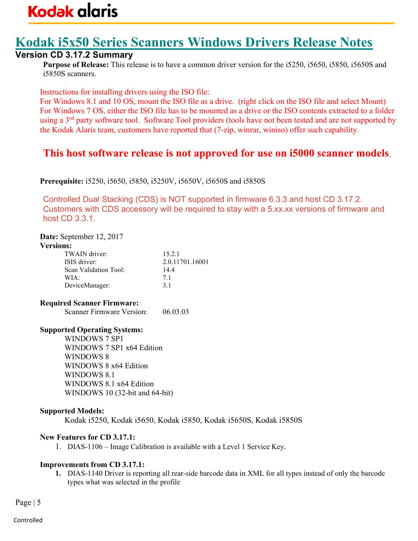## Kodak i5x50 Series Scanners Windows Drivers Release Notes

#### Version CD 3.17.2 Summary

Purpose of Release: This release is to have a common driver version for the i5250, i5650, i5850, i5650S and i5850S scanners.

Instructions for installing drivers using the ISO file:

For Windows 8.1 and 10 OS, mount the ISO file as a drive. (right click on the ISO file and select Mount) For Windows 7 OS, either the ISO file has to be mounted as a drive or the ISO contents extracted to a folder using a 3<sup>rd</sup> party software tool. Software Tool providers (tools have not been tested and are not supported by the Kodak Alaris team, customers have reported that (7-zip, winrar, winiso) offer such capability.

## This host software release is not approved for use on i5000 scanner models.

Prerequisite: i5250, i5650, i5850, i5250V, i5650V, i5650S and i5850S

Controlled Dual Stacking (CDS) is NOT supported in firmware 6.3.3 and host CD 3.17.2. Customers with CDS accessory will be required to stay with a 5.xx.xx versions of firmware and host CD 3.3.1.

#### Date: September 12, 2017

#### Versions:

| TWAIN driver:<br>ISIS driver: | 15.2.1<br>2.0.11701.16001 |
|-------------------------------|---------------------------|
| Scan Validation Tool:         | 14.4                      |
| WIA:                          | 71                        |
| DeviceManager:                | 3.1                       |

#### Required Scanner Firmware:

Scanner Firmware Version: 06.03.03

#### Supported Operating Systems:

WINDOWS 7 SP1 WINDOWS 7 SP1 x64 Edition WINDOWS 8 WINDOWS 8 x64 Edition WINDOWS 8.1 WINDOWS 8.1 x64 Edition WINDOWS 10 (32-bit and 64-bit)

#### Supported Models:

Kodak i5250, Kodak i5650, Kodak i5850, Kodak i5650S, Kodak i5850S

#### New Features for CD 3.17.1:

1. DIAS-1106 – Image Calibration is available with a Level 1 Service Key.

#### Improvements from CD 3.17.1:

1. DIAS-1140 Driver is reporting all rear-side barcode data in XML for all types instead of only the barcode types what was selected in the profile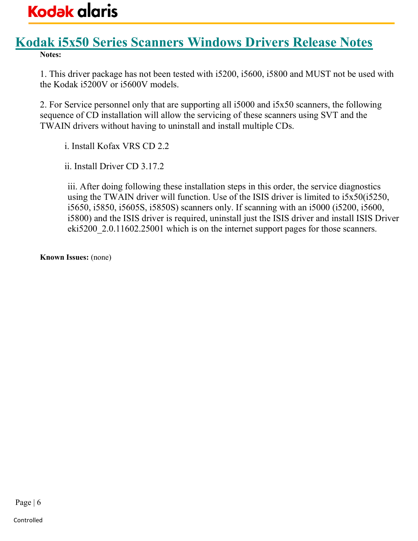### Kodak i5x50 Series Scanners Windows Drivers Release Notes Notes:

1. This driver package has not been tested with i5200, i5600, i5800 and MUST not be used with the Kodak i5200V or i5600V models.

2. For Service personnel only that are supporting all i5000 and i5x50 scanners, the following sequence of CD installation will allow the servicing of these scanners using SVT and the TWAIN drivers without having to uninstall and install multiple CDs.

i. Install Kofax VRS CD 2.2

ii. Install Driver CD 3.17.2

iii. After doing following these installation steps in this order, the service diagnostics using the TWAIN driver will function. Use of the ISIS driver is limited to i5x50(i5250, i5650, i5850, i5605S, i5850S) scanners only. If scanning with an i5000 (i5200, i5600, i5800) and the ISIS driver is required, uninstall just the ISIS driver and install ISIS Driver eki5200 2.0.11602.25001 which is on the internet support pages for those scanners.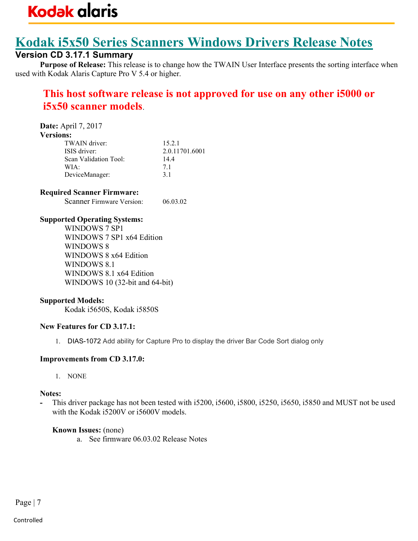## Kodak i5x50 Series Scanners Windows Drivers Release Notes

### Version CD 3.17.1 Summary

Purpose of Release: This release is to change how the TWAIN User Interface presents the sorting interface when used with Kodak Alaris Capture Pro V 5.4 or higher.

## This host software release is not approved for use on any other i5000 or i5x50 scanner models.

Date: April 7, 2017

#### Versions:

| TWAIN driver:         | 15.2.1         |
|-----------------------|----------------|
| ISIS driver:          | 2.0.11701.6001 |
| Scan Validation Tool: | 144            |
| WIA:                  | 71             |
| DeviceManager:        | 31             |

#### Required Scanner Firmware:

Scanner Firmware Version: 06.03.02

#### Supported Operating Systems:

WINDOWS 7 SP1 WINDOWS 7 SP1 x64 Edition WINDOWS 8 WINDOWS 8 x64 Edition WINDOWS 8.1 WINDOWS 8.1 x64 Edition WINDOWS 10 (32-bit and 64-bit)

#### Supported Models:

Kodak i5650S, Kodak i5850S

#### New Features for CD 3.17.1:

1. DIAS-1072 Add ability for Capture Pro to display the driver Bar Code Sort dialog only

#### Improvements from CD 3.17.0:

1. NONE

#### Notes:

This driver package has not been tested with i5200, i5600, i5800, i5250, i5650, i5850 and MUST not be used with the Kodak i5200V or i5600V models.

#### Known Issues: (none)

a. See firmware 06.03.02 Release Notes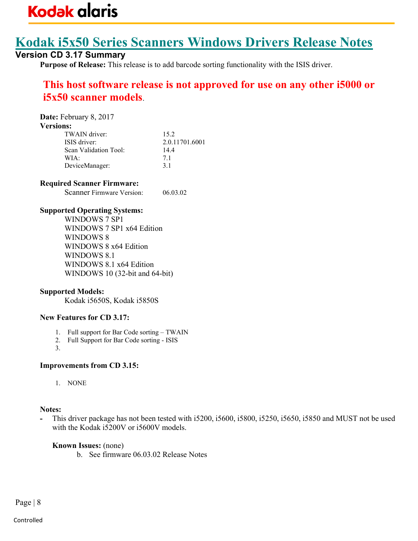## Kodak i5x50 Series Scanners Windows Drivers Release Notes

### Version CD 3.17 Summary

Purpose of Release: This release is to add barcode sorting functionality with the ISIS driver.

## This host software release is not approved for use on any other i5000 or i5x50 scanner models.

| Date: February 8, 2017 |                |
|------------------------|----------------|
| <b>Versions:</b>       |                |
| TWAIN driver:          | 15.2           |
| ISIS driver:           | 2.0.11701.6001 |
| Scan Validation Tool:  | 14.4           |
| WIA:                   | 7.1            |
| DeviceManager:         | 31             |

#### Required Scanner Firmware:

Scanner Firmware Version: 06.03.02

#### Supported Operating Systems:

WINDOWS 7 SP1 WINDOWS 7 SP1 x64 Edition WINDOWS 8 WINDOWS 8 x64 Edition WINDOWS 8.1 WINDOWS 8.1 x64 Edition WINDOWS 10 (32-bit and 64-bit)

#### Supported Models:

Kodak i5650S, Kodak i5850S

#### New Features for CD 3.17:

- 1. Full support for Bar Code sorting TWAIN
- 2. Full Support for Bar Code sorting ISIS
- 3.

#### Improvements from CD 3.15:

1. NONE

#### Notes:

This driver package has not been tested with i5200, i5600, i5800, i5250, i5650, i5850 and MUST not be used with the Kodak i5200V or i5600V models.

Known Issues: (none)

b. See firmware 06.03.02 Release Notes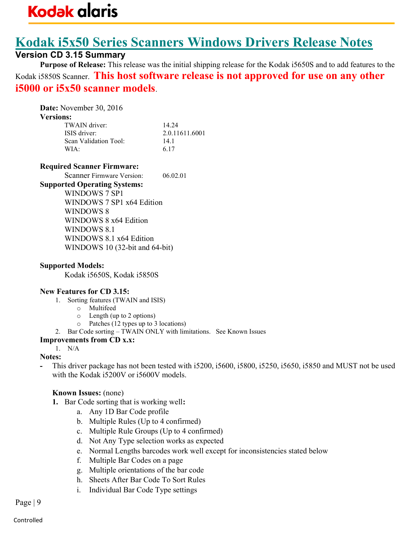# Kodak i5x50 Series Scanners Windows Drivers Release Notes

### Version CD 3.15 Summary

Purpose of Release: This release was the initial shipping release for the Kodak i5650S and to add features to the Kodak i5850S Scanner. This host software release is not approved for use on any other i5000 or i5x50 scanner models.

Date: November 30, 2016 Versions:

| 14.24          |
|----------------|
| 2.0.11611.6001 |
| 141            |
| 6.17           |
|                |

#### Required Scanner Firmware:

Scanner Firmware Version: 06.02.01

#### Supported Operating Systems:

WINDOWS 7 SP1 WINDOWS 7 SP1 x64 Edition WINDOWS 8 WINDOWS 8 x64 Edition WINDOWS 8.1 WINDOWS 8.1 x64 Edition WINDOWS 10 (32-bit and 64-bit)

#### Supported Models:

Kodak i5650S, Kodak i5850S

#### New Features for CD 3.15:

- 1. Sorting features (TWAIN and ISIS)
	- o Multifeed
	- o Length (up to 2 options)
	- o Patches (12 types up to 3 locations)
- 2. Bar Code sorting TWAIN ONLY with limitations. See Known Issues

#### Improvements from CD x.x:

#### 1. N/A Notes:

This driver package has not been tested with i5200, i5600, i5800, i5250, i5650, i5850 and MUST not be used with the Kodak i5200V or i5600V models.

- 1. Bar Code sorting that is working well:
	- a. Any 1D Bar Code profile
	- b. Multiple Rules (Up to 4 confirmed)
	- c. Multiple Rule Groups (Up to 4 confirmed)
	- d. Not Any Type selection works as expected
	- e. Normal Lengths barcodes work well except for inconsistencies stated below
	- f. Multiple Bar Codes on a page
	- g. Multiple orientations of the bar code
	- h. Sheets After Bar Code To Sort Rules
	- i. Individual Bar Code Type settings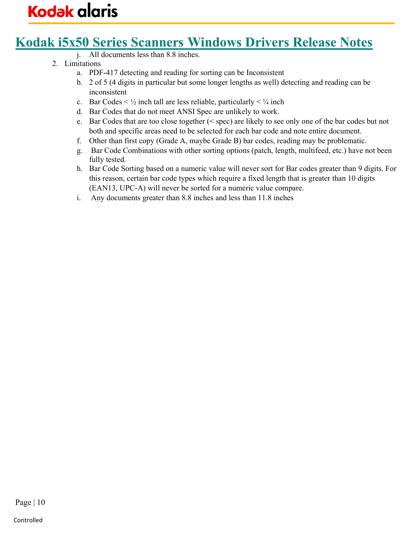## Kodak i5x50 Series Scanners Windows Drivers Release Notes

- j. All documents less than 8.8 inches.
- 2. Limitations
	- a. PDF-417 detecting and reading for sorting can be Inconsistent
	- b. 2 of 5 (4 digits in particular but some longer lengths as well) detecting and reading can be inconsistent
	- c. Bar Codes  $\leq \frac{1}{2}$  inch tall are less reliable, particularly  $\leq \frac{1}{4}$  inch
	- d. Bar Codes that do not meet ANSI Spec are unlikely to work.
	- e. Bar Codes that are too close together (< spec) are likely to see only one of the bar codes but not both and specific areas need to be selected for each bar code and note entire document.
	- f. Other than first copy (Grade A, maybe Grade B) bar codes, reading may be problematic.
	- g. Bar Code Combinations with other sorting options (patch, length, multifeed, etc.) have not been fully tested.
	- h. Bar Code Sorting based on a numeric value will never sort for Bar codes greater than 9 digits. For this reason, certain bar code types which require a fixed length that is greater than 10 digits (EAN13, UPC-A) will never be sorted for a numeric value compare.
	- i. Any documents greater than 8.8 inches and less than 11.8 inches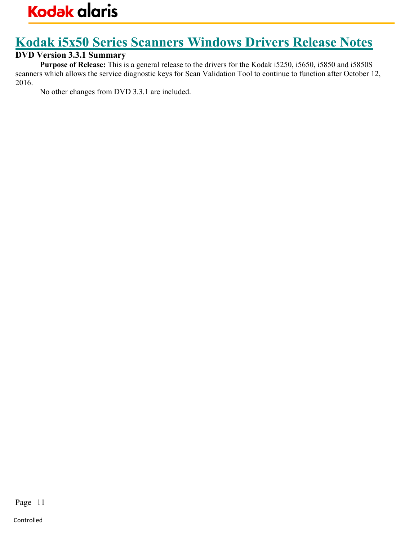# Kodak i5x50 Series Scanners Windows Drivers Release Notes

### DVD Version 3.3.1 Summary

Purpose of Release: This is a general release to the drivers for the Kodak i5250, i5650, i5850 and i5850S scanners which allows the service diagnostic keys for Scan Validation Tool to continue to function after October 12, 2016.

No other changes from DVD 3.3.1 are included.

Page | 11

Controlled